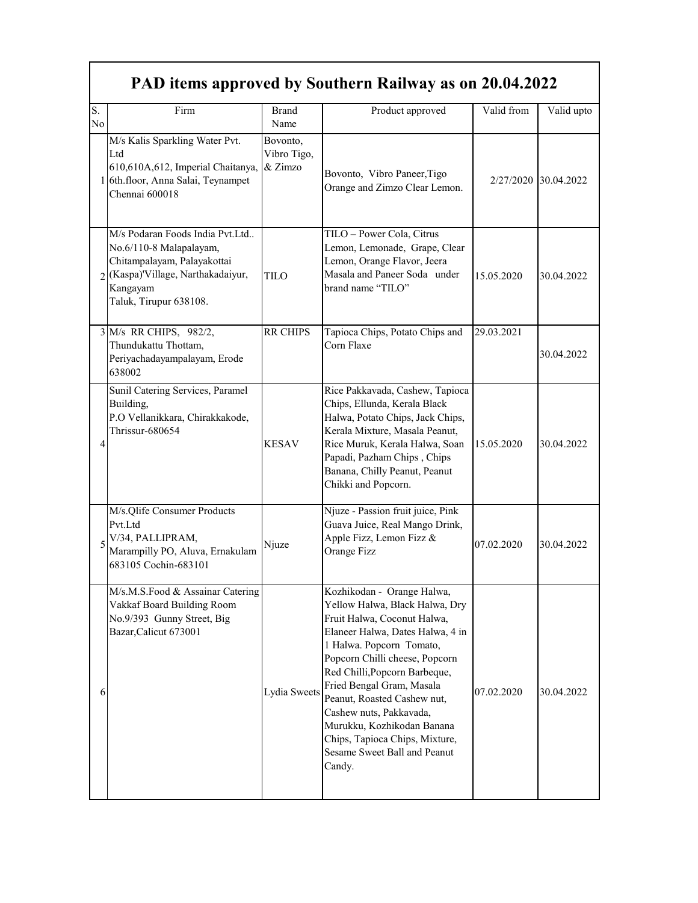## **PAD items approved by Southern Railway as on 20.04.2022**

| S.<br>No. | Firm                                                                                                                                                                  | <b>Brand</b><br>Name               | Product approved                                                                                                                                                                                                                                                                                                                                                                                                                | Valid from | Valid upto           |
|-----------|-----------------------------------------------------------------------------------------------------------------------------------------------------------------------|------------------------------------|---------------------------------------------------------------------------------------------------------------------------------------------------------------------------------------------------------------------------------------------------------------------------------------------------------------------------------------------------------------------------------------------------------------------------------|------------|----------------------|
|           | M/s Kalis Sparkling Water Pvt.<br>Ltd<br>610,610A,612, Imperial Chaitanya,<br>1 6th.floor, Anna Salai, Teynampet<br>Chennai 600018                                    | Bovonto,<br>Vibro Tigo,<br>& Zimzo | Bovonto, Vibro Paneer, Tigo<br>Orange and Zimzo Clear Lemon.                                                                                                                                                                                                                                                                                                                                                                    |            | 2/27/2020 30.04.2022 |
|           | M/s Podaran Foods India Pvt.Ltd<br>No.6/110-8 Malapalayam,<br>Chitampalayam, Palayakottai<br>2 (Kaspa)'Village, Narthakadaiyur,<br>Kangayam<br>Taluk, Tirupur 638108. | <b>TILO</b>                        | TILO - Power Cola, Citrus<br>Lemon, Lemonade, Grape, Clear<br>Lemon, Orange Flavor, Jeera<br>Masala and Paneer Soda under<br>brand name "TILO"                                                                                                                                                                                                                                                                                  | 15.05.2020 | 30.04.2022           |
|           | 3 M/s RR CHIPS, 982/2,<br>Thundukattu Thottam,<br>Periyachadayampalayam, Erode<br>638002                                                                              | <b>RR CHIPS</b>                    | Tapioca Chips, Potato Chips and<br>Corn Flaxe                                                                                                                                                                                                                                                                                                                                                                                   | 29.03.2021 | 30.04.2022           |
| 4         | Sunil Catering Services, Paramel<br>Building,<br>P.O Vellanikkara, Chirakkakode,<br>Thrissur-680654                                                                   | <b>KESAV</b>                       | Rice Pakkavada, Cashew, Tapioca<br>Chips, Ellunda, Kerala Black<br>Halwa, Potato Chips, Jack Chips,<br>Kerala Mixture, Masala Peanut,<br>Rice Muruk, Kerala Halwa, Soan<br>Papadi, Pazham Chips, Chips<br>Banana, Chilly Peanut, Peanut<br>Chikki and Popcorn.                                                                                                                                                                  | 15.05.2020 | 30.04.2022           |
|           | M/s.Qlife Consumer Products<br>Pvt.Ltd<br>V/34, PALLIPRAM,<br>Marampilly PO, Aluva, Ernakulam<br>683105 Cochin-683101                                                 | Njuze                              | Njuze - Passion fruit juice, Pink<br>Guava Juice, Real Mango Drink,<br>Apple Fizz, Lemon Fizz &<br>Orange Fizz                                                                                                                                                                                                                                                                                                                  | 07.02.2020 | 30.04.2022           |
| 6         | M/s.M.S.Food & Assainar Catering<br>Vakkaf Board Building Room<br>No.9/393 Gunny Street, Big<br>Bazar, Calicut 673001                                                 | Lydia Sweets                       | Kozhikodan - Orange Halwa,<br>Yellow Halwa. Black Halwa. Drv<br>Fruit Halwa, Coconut Halwa,<br>Elaneer Halwa, Dates Halwa, 4 in<br>1 Halwa. Popcorn Tomato,<br>Popcorn Chilli cheese, Popcorn<br>Red Chilli, Popcorn Barbeque,<br>Fried Bengal Gram, Masala<br>Peanut, Roasted Cashew nut,<br>Cashew nuts, Pakkavada,<br>Murukku, Kozhikodan Banana<br>Chips, Tapioca Chips, Mixture,<br>Sesame Sweet Ball and Peanut<br>Candy. | 07.02.2020 | 30.04.2022           |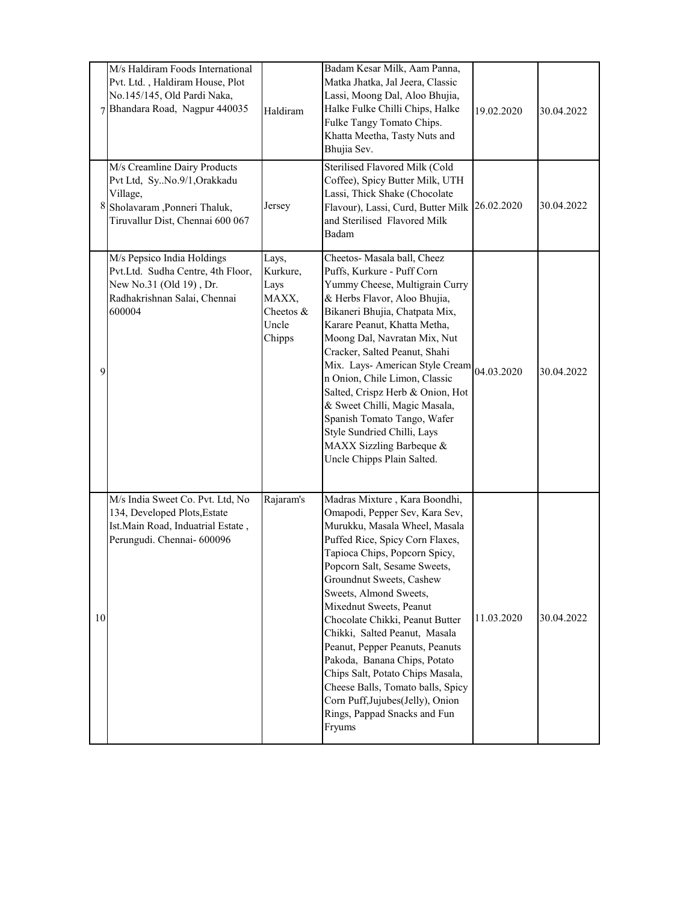|    | M/s Haldiram Foods International<br>Pvt. Ltd., Haldiram House, Plot<br>No.145/145, Old Pardi Naka,<br>7 Bhandara Road, Nagpur 440035        | Haldiram                                                           | Badam Kesar Milk, Aam Panna,<br>Matka Jhatka, Jal Jeera, Classic<br>Lassi, Moong Dal, Aloo Bhujia,<br>Halke Fulke Chilli Chips, Halke<br>Fulke Tangy Tomato Chips.<br>Khatta Meetha, Tasty Nuts and<br>Bhujia Sev.                                                                                                                                                                                                                                                                                                                                                                  | 19.02.2020 | 30.04.2022 |
|----|---------------------------------------------------------------------------------------------------------------------------------------------|--------------------------------------------------------------------|-------------------------------------------------------------------------------------------------------------------------------------------------------------------------------------------------------------------------------------------------------------------------------------------------------------------------------------------------------------------------------------------------------------------------------------------------------------------------------------------------------------------------------------------------------------------------------------|------------|------------|
|    | M/s Creamline Dairy Products<br>Pvt Ltd, SyNo.9/1,Orakkadu<br>Village,<br>8 Sholavaram ,Ponneri Thaluk,<br>Tiruvallur Dist, Chennai 600 067 | Jersey                                                             | Sterilised Flavored Milk (Cold<br>Coffee), Spicy Butter Milk, UTH<br>Lassi, Thick Shake (Chocolate<br>Flavour), Lassi, Curd, Butter Milk<br>and Sterilised Flavored Milk<br>Badam                                                                                                                                                                                                                                                                                                                                                                                                   | 26.02.2020 | 30.04.2022 |
| 9  | M/s Pepsico India Holdings<br>Pvt.Ltd. Sudha Centre, 4th Floor,<br>New No.31 (Old 19), Dr.<br>Radhakrishnan Salai, Chennai<br>600004        | Lays,<br>Kurkure,<br>Lays<br>MAXX,<br>Cheetos &<br>Uncle<br>Chipps | Cheetos- Masala ball, Cheez<br>Puffs, Kurkure - Puff Corn<br>Yummy Cheese, Multigrain Curry<br>& Herbs Flavor, Aloo Bhujia,<br>Bikaneri Bhujia, Chatpata Mix,<br>Karare Peanut, Khatta Metha,<br>Moong Dal, Navratan Mix, Nut<br>Cracker, Salted Peanut, Shahi<br>Mix. Lays- American Style Cream<br>n Onion, Chile Limon, Classic<br>Salted, Crispz Herb & Onion, Hot<br>& Sweet Chilli, Magic Masala,<br>Spanish Tomato Tango, Wafer<br>Style Sundried Chilli, Lays<br>MAXX Sizzling Barbeque &<br>Uncle Chipps Plain Salted.                                                     | 04.03.2020 | 30.04.2022 |
| 10 | M/s India Sweet Co. Pvt. Ltd, No<br>134, Developed Plots, Estate<br>Ist. Main Road, Induatrial Estate,<br>Perungudi. Chennai- 600096        | Rajaram's                                                          | Madras Mixture, Kara Boondhi,<br>Omapodi, Pepper Sev, Kara Sev,<br>Murukku, Masala Wheel, Masala<br>Puffed Rice, Spicy Corn Flaxes,<br>Tapioca Chips, Popcorn Spicy,<br>Popcorn Salt, Sesame Sweets,<br>Groundnut Sweets, Cashew<br>Sweets, Almond Sweets,<br>Mixednut Sweets, Peanut<br>Chocolate Chikki, Peanut Butter<br>Chikki, Salted Peanut, Masala<br>Peanut, Pepper Peanuts, Peanuts<br>Pakoda, Banana Chips, Potato<br>Chips Salt, Potato Chips Masala,<br>Cheese Balls, Tomato balls, Spicy<br>Corn Puff, Jujubes(Jelly), Onion<br>Rings, Pappad Snacks and Fun<br>Fryums | 11.03.2020 | 30.04.2022 |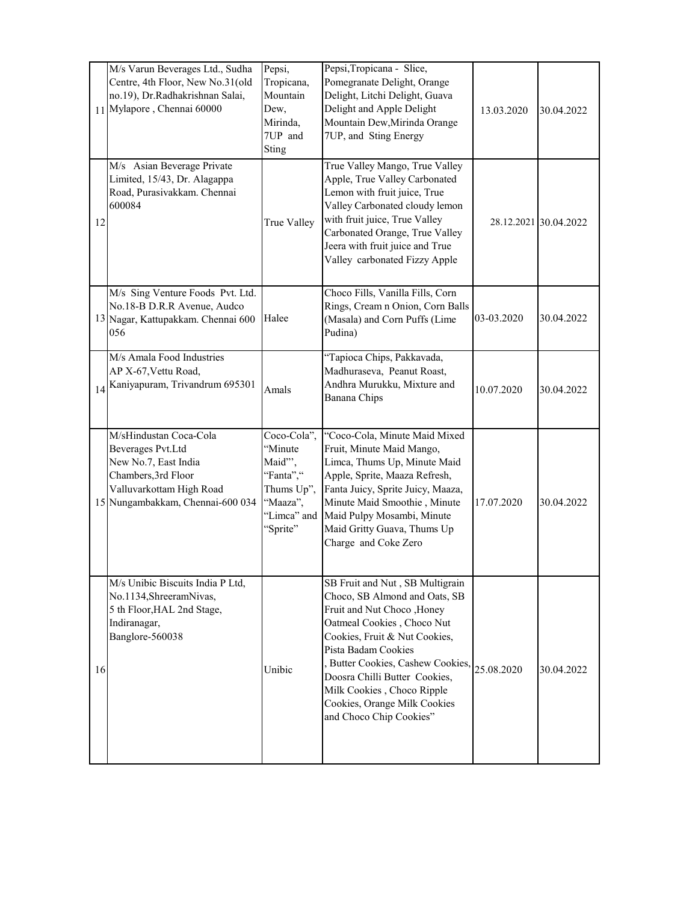|    | M/s Varun Beverages Ltd., Sudha<br>Centre, 4th Floor, New No.31(old<br>no.19), Dr.Radhakrishnan Salai,<br>11 Mylapore, Chennai 60000                       | Pepsi,<br>Tropicana,<br>Mountain<br>Dew,<br>Mirinda,<br>7UP and<br>Sting                            | Pepsi, Tropicana - Slice,<br>Pomegranate Delight, Orange<br>Delight, Litchi Delight, Guava<br>Delight and Apple Delight<br>Mountain Dew, Mirinda Orange<br>7UP, and Sting Energy                                                                                                                                                                     | 13.03.2020 | 30.04.2022            |
|----|------------------------------------------------------------------------------------------------------------------------------------------------------------|-----------------------------------------------------------------------------------------------------|------------------------------------------------------------------------------------------------------------------------------------------------------------------------------------------------------------------------------------------------------------------------------------------------------------------------------------------------------|------------|-----------------------|
| 12 | M/s Asian Beverage Private<br>Limited, 15/43, Dr. Alagappa<br>Road, Purasivakkam. Chennai<br>600084                                                        | True Valley                                                                                         | True Valley Mango, True Valley<br>Apple, True Valley Carbonated<br>Lemon with fruit juice, True<br>Valley Carbonated cloudy lemon<br>with fruit juice, True Valley<br>Carbonated Orange, True Valley<br>Jeera with fruit juice and True<br>Valley carbonated Fizzy Apple                                                                             |            | 28.12.2021 30.04.2022 |
|    | M/s Sing Venture Foods Pvt. Ltd.<br>No.18-B D.R.R Avenue, Audco<br>13 Nagar, Kattupakkam. Chennai 600<br>056                                               | Halee                                                                                               | Choco Fills, Vanilla Fills, Corn<br>Rings, Cream n Onion, Corn Balls<br>(Masala) and Corn Puffs (Lime<br>Pudina)                                                                                                                                                                                                                                     | 03-03.2020 | 30.04.2022            |
| 14 | M/s Amala Food Industries<br>AP X-67, Vettu Road,<br>Kaniyapuram, Trivandrum 695301                                                                        | Amals                                                                                               | "Tapioca Chips, Pakkavada,<br>Madhuraseva, Peanut Roast,<br>Andhra Murukku, Mixture and<br>Banana Chips                                                                                                                                                                                                                                              | 10.07.2020 | 30.04.2022            |
|    | M/sHindustan Coca-Cola<br>Beverages Pvt.Ltd<br>New No.7, East India<br>Chambers, 3rd Floor<br>Valluvarkottam High Road<br>15 Nungambakkam, Chennai-600 034 | Coco-Cola",<br>"Minute<br>Maid"',<br>"Fanta","<br>Thums Up",<br>"Maaza",<br>"Limca" and<br>"Sprite" | "Coco-Cola, Minute Maid Mixed<br>Fruit, Minute Maid Mango,<br>Limca, Thums Up, Minute Maid<br>Apple, Sprite, Maaza Refresh,<br>Fanta Juicy, Sprite Juicy, Maaza,<br>Minute Maid Smoothie, Minute<br>Maid Pulpy Mosambi, Minute<br>Maid Gritty Guava, Thums Up<br>Charge and Coke Zero                                                                | 17.07.2020 | 30.04.2022            |
| 16 | M/s Unibic Biscuits India P Ltd,<br>No.1134, Shreeram Nivas,<br>5 th Floor, HAL 2nd Stage,<br>Indiranagar,<br>Banglore-560038                              | Unibic                                                                                              | SB Fruit and Nut, SB Multigrain<br>Choco, SB Almond and Oats, SB<br>Fruit and Nut Choco , Honey<br>Oatmeal Cookies, Choco Nut<br>Cookies, Fruit & Nut Cookies,<br>Pista Badam Cookies<br>, Butter Cookies, Cashew Cookies,<br>Doosra Chilli Butter Cookies,<br>Milk Cookies, Choco Ripple<br>Cookies, Orange Milk Cookies<br>and Choco Chip Cookies" | 25.08.2020 | 30.04.2022            |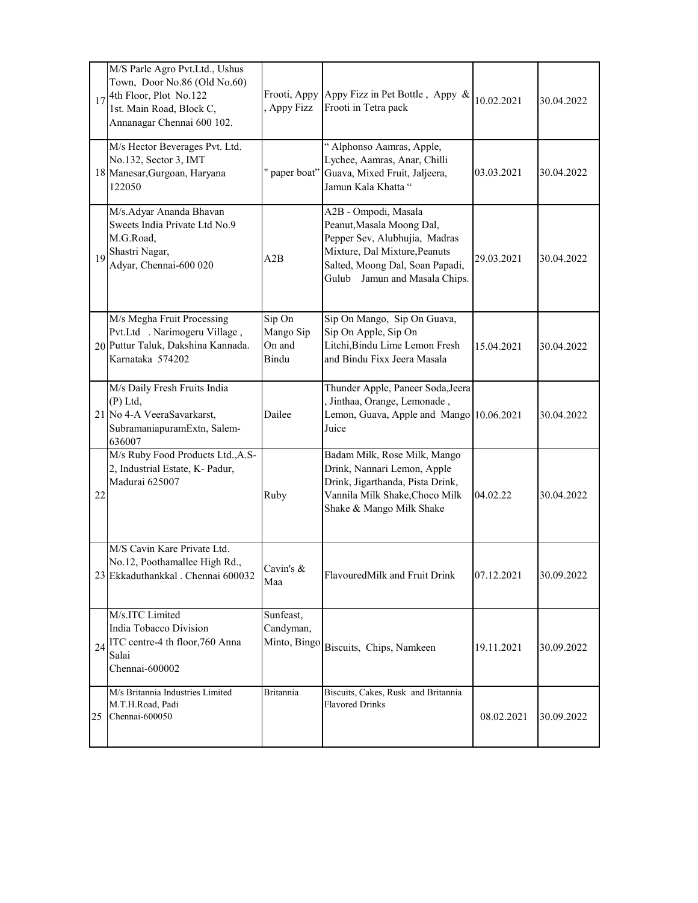|    | M/S Parle Agro Pvt.Ltd., Ushus<br>Town, Door No.86 (Old No.60)<br>$17$ <sup>4th Floor, Plot No.122</sup><br>1st. Main Road, Block C,<br>Annanagar Chennai 600 102. | Frooti, Appy<br><b>Appy Fizz</b>       | Appy Fizz in Pet Bottle, Appy &<br>Frooti in Tetra pack                                                                                                                                    | 10.02.2021 | 30.04.2022 |
|----|--------------------------------------------------------------------------------------------------------------------------------------------------------------------|----------------------------------------|--------------------------------------------------------------------------------------------------------------------------------------------------------------------------------------------|------------|------------|
|    | M/s Hector Beverages Pvt. Ltd.<br>No.132, Sector 3, IMT<br>18 Manesar, Gurgoan, Haryana<br>122050                                                                  | paper boat"                            | " Alphonso Aamras, Apple,<br>Lychee, Aamras, Anar, Chilli<br>Guava, Mixed Fruit, Jaljeera,<br>Jamun Kala Khatta "                                                                          | 03.03.2021 | 30.04.2022 |
|    | M/s.Adyar Ananda Bhavan<br>Sweets India Private Ltd No.9<br>M.G.Road,<br>19 Shastri Nagar,<br>Adyar, Chennai-600 020                                               | A2B                                    | A2B - Ompodi, Masala<br>Peanut, Masala Moong Dal,<br>Pepper Sev, Alubhujia, Madras<br>Mixture, Dal Mixture, Peanuts<br>Salted, Moong Dal, Soan Papadi,<br>Gulub<br>Jamun and Masala Chips. | 29.03.2021 | 30.04.2022 |
|    | M/s Megha Fruit Processing<br>Pvt.Ltd . Narimogeru Village,<br>20 Puttur Taluk, Dakshina Kannada.<br>Karnataka 574202                                              | Sip On<br>Mango Sip<br>On and<br>Bindu | Sip On Mango, Sip On Guava,<br>Sip On Apple, Sip On<br>Litchi, Bindu Lime Lemon Fresh<br>and Bindu Fixx Jeera Masala                                                                       | 15.04.2021 | 30.04.2022 |
|    | M/s Daily Fresh Fruits India<br>(P) Ltd,<br>21 No 4-A VeeraSavarkarst,<br>SubramaniapuramExtn, Salem-<br>636007                                                    | Dailee                                 | Thunder Apple, Paneer Soda, Jeera<br>Jinthaa, Orange, Lemonade,<br>Lemon, Guava, Apple and Mango 10.06.2021<br>Juice                                                                       |            | 30.04.2022 |
| 22 | M/s Ruby Food Products Ltd., A.S-<br>2, Industrial Estate, K- Padur,<br>Madurai 625007                                                                             | Ruby                                   | Badam Milk, Rose Milk, Mango<br>Drink, Nannari Lemon, Apple<br>Drink, Jigarthanda, Pista Drink,<br>Vannila Milk Shake, Choco Milk<br>Shake & Mango Milk Shake                              | 04.02.22   | 30.04.2022 |
|    | M/S Cavin Kare Private Ltd.<br>No.12, Poothamallee High Rd.,<br>23 Ekkaduthankkal . Chennai 600032                                                                 | Cavin's $\&$<br>Maa                    | FlavouredMilk and Fruit Drink                                                                                                                                                              | 07.12.2021 | 30.09.2022 |
|    | M/s.ITC Limited<br>India Tobacco Division<br>$24$ <sup>ITC</sup> centre-4 th floor, 760 Anna<br>Salai<br>Chennai-600002                                            | Sunfeast,<br>Candyman,<br>Minto, Bingo | Biscuits, Chips, Namkeen                                                                                                                                                                   | 19.11.2021 | 30.09.2022 |
| 25 | M/s Britannia Industries Limited<br>M.T.H.Road, Padi<br>Chennai-600050                                                                                             | <b>Britannia</b>                       | Biscuits, Cakes, Rusk and Britannia<br><b>Flavored Drinks</b>                                                                                                                              | 08.02.2021 | 30.09.2022 |